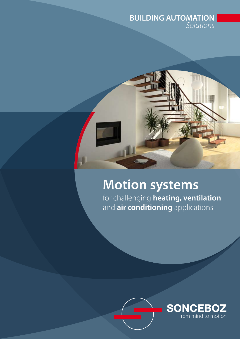### **BUILDING AUTOMATION**  *Solutions*

### **Motion systems**

for challenging **heating, ventilation** and **air conditioning** applications

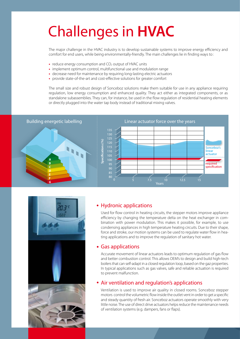## Challenges in **HVAC**

The major challenge in the HVAC industry is to develop sustainable systems to improve energy efficiency and comfort for end users, while being environmentally-friendly. The main challenges lie in finding ways to:

- reduce energy consumption and CO<sub>2</sub> output of HVAC units
- implement optimum control, multifunctional use and modulation range
- decrease need for maintenance by requiring long-lasting electric actuators
- provide state-of-the-art and cost-effective solutions for greater comfort

The small size and robust design of Sonceboz solutions make them suitable for use in any appliance requiring regulation, low energy consumption and enhanced quality. They act either as integrated components, or as standalone subassemblies. They can, for instance, be used in the flow regulation of residential heating elements or directly plugged into the water tap body instead of traditional mixing valves.





### • Hydronic applications

Used for flow control in heating circuits, the stepper motors improve appliance efficiency by changing the temperature delta on the heat exchanger in combination with power modulation. This makes it possible, for example, to use condensing appliances in high temperature heating circuits. Due to their shape, force and stroke, our motion systems can be used to regulate water flow in heating applications and to improve the regulation of sanitary hot water.

#### Gas applications

Accurate movement of linear actuators leads to optimum regulation of gas flow and better combustion control. This allows OEM's to design and build high-tech boilers that can self-adapt in a closed regulation loop, based on the gaz properties. In typical applications such as gas valves, safe and reliable actuation is required to prevent malfunction.

#### Air ventilation and regulation's applications

Ventilation is used to improve air quality in closed rooms. Sonceboz stepper motors control the volumetric flow inside the outlet vent in order to get a specific and steady quantity of fresh air. Sonceboz actuators operate smoothly with very little noise. The use of direct drive actuators helps reduce the maintenance needs of ventilation systems (e.g. dampers, fans or flaps).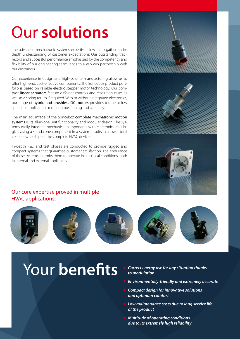# Our **solutions**

The advanced mechatronic systems expertise allow us to gather an indepth understanding of customer expectations. Our outstanding track record and successful performance emphasized by the competency and flexibility of our engineering team leads to a win-win partnership with our customers.

Our experience in design and high-volume manufacturing allow us to offer high-end, cost-effective components. The Sonceboz product portfolio is based on reliable electric stepper motor technology. Our compact linear actuators feature different controls and resolution cases as well as a spring return if required. With or without integrated electronics, our range of hybrid and brushless DC motors provides torque at low speed for applications requiring positioning and accuracy.

The main advantage of the Sonceboz complete mechatronic motion systems is its all-in-one unit functionality and modular design. The systems easily integrate mechanical components with electronics and logics. Using a standalone component in a system results in a lower total cost of ownership for the complete HVAC device.

In-depth R&D and test phases are conducted to provide rugged and compact systems that guarantee customer satisfaction. The endurance of these systems permits them to operate in all critical conditions, both in internal and external appliances.



### Our core expertise proved in multiple HVAC applications:



# Your **benefits** *Correct energy use for any situation thanks*

- *to modulation*
- *Environmentally-friendly and extremely accurate*
- *Compact design for innovative solutions and optimum comfort*
- *Low maintenance costs due to long service life of the product*
- *Multitude of operating conditions, due to its extremely high reliability*